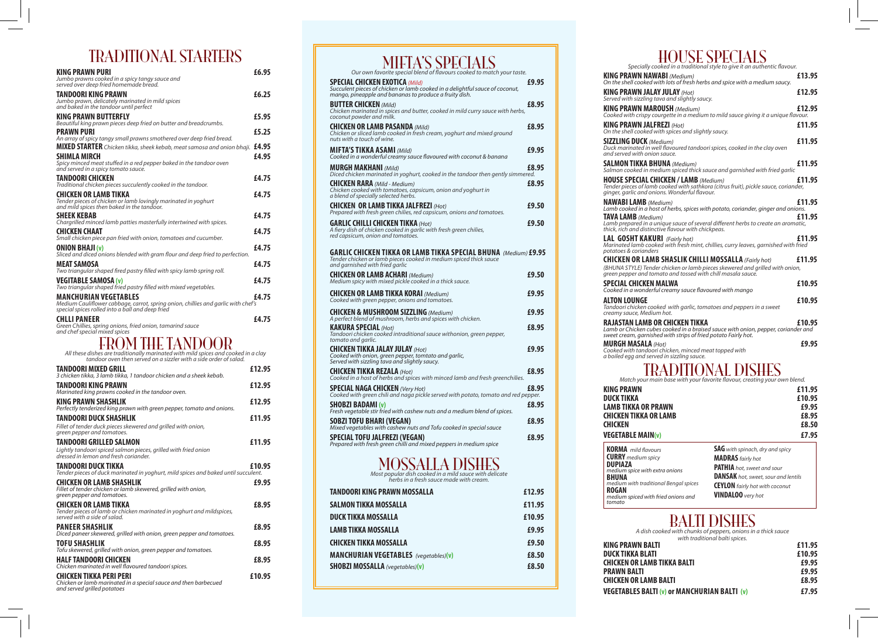## TRADITIONAL STARTERS

| 1111171                                                                                                                                                                                                                                                                                                                         |        |
|---------------------------------------------------------------------------------------------------------------------------------------------------------------------------------------------------------------------------------------------------------------------------------------------------------------------------------|--------|
| KING PRAWN PURI<br>Jumbo prawns cooked in a spicy tangy sauce and<br>served over deep fried homemade bread.                                                                                                                                                                                                                     | £6.95  |
| TANDOORI KING PRAWN<br>Jumbo prawn, delicately marinated in mild spices<br>and baked in the tandoor until perfect                                                                                                                                                                                                               | £6.25  |
| KING PRAWN BUTTERFLY<br>Beautiful king prawn pieces deep fried on butter and breadcrumbs.                                                                                                                                                                                                                                       | £5.95  |
| <b>PRAWN PURI</b>                                                                                                                                                                                                                                                                                                               | £5.25  |
| An array of spicy tangy small prawns smothered over deep fried bread.<br><code>MIXED</code> STARTER <code>Chicken</code> tikka, sheek kebab, meat samosa and onion bhaji. $\,$ <code>£4.95</code><br>SHIMLA MIRCH<br>Spicy minced meat stuffed in a red pepper baked in the tandoor oven<br>and served in a spicy tomato sauce. | £4.95  |
| TANDOORI CHICKEN                                                                                                                                                                                                                                                                                                                | £4.75  |
| Traditional chicken pieces succulently cooked in the tandoor.<br>CHICKEN OR LAMB TIKKA<br>Tender pieces of chicken or lamb lovingly marinated in yoghurt<br>and mild spices then baked in the tan $\vec{d}$ oor.                                                                                                                | £4.75  |
| SHEEK KEBAB<br>Chargrilled minced lamb patties masterfully intertwined with spices.                                                                                                                                                                                                                                             | £4.75  |
| CHICKEN CHAAT                                                                                                                                                                                                                                                                                                                   | £4.75  |
| Small chicken piece pan fried with onion, tomatoes and cucumber.<br>ONION BHAJI (v)<br>Sliced and diced onions blended with gram flour and deep fried to perfection.                                                                                                                                                            | £4.75  |
| MEAT SAMOSA<br>Two triangular shaped fired pastry filled with spicy lamb spring roll.                                                                                                                                                                                                                                           | £4.75  |
| <b>VEGITABLE SAMOSA (v)</b><br>Two triangular shaped fried pastry filled with mixed vegetables.                                                                                                                                                                                                                                 | £4.75  |
| MANCHURIAN VEGETABLES<br>Medium Cauliflower cabbage, carrot, spring onion, chillies and garlic with chef's<br>special spices rolled into a ball and deep fried                                                                                                                                                                  | £4.75  |
| CHLLI PANEER<br>Green Chillies, spring onions, fried onion, tamarind sauce<br>and chef special mixed spices                                                                                                                                                                                                                     | £4.75  |
| All these dishes are traditionally marinated with mild spices and cooked in a clay<br>tandoor oven then served on a sizzler with a side order of salad.                                                                                                                                                                         |        |
| TANDOORI MIXED GRILL<br>3 chicken tikka, 3 lamb tikka, 1 tandoor chicken and a sheek kebab.                                                                                                                                                                                                                                     | £12.95 |
| TANDOORI KING PRAWN<br>Marinated king prawns cooked in the tandoor oven.                                                                                                                                                                                                                                                        | £12.95 |
| KING PRAWN SHASHLIK                                                                                                                                                                                                                                                                                                             | £12.95 |
| Perfectly tenderized king prawn with green pepper, tomato and onions.<br>TANDOORI DUCK SHASHLIK<br>Fillet of tender duck pieces skewered and grilled with onion,                                                                                                                                                                | £11.95 |
| green pepper and tomatoes.<br>TANDOORI GRILLED SALMON<br>Lightly tandoori spiced salmon pieces, grilled with fried onion<br>dressed in lemon and fresh coriander.                                                                                                                                                               | £11.95 |
| TANDOORI DUCK TIKKA<br>Tender pieces of duck marinated in yoghurt, mild spices and baked until succulent.                                                                                                                                                                                                                       | £10.95 |
| CHICKEN OR LAMB SHASHLIK<br>Fillet of tender chicken or lamb skewered, grilled with onion,<br>green pepper and tomatoes.                                                                                                                                                                                                        | £9.95  |
| CHICKEN OR LAMB TIKKA<br>Tender pieces of lamb or chicken marinated in yoghurt and mildspices,<br>served with a side of salad.                                                                                                                                                                                                  | £8.95  |
| <b>PANEER SHASHLIK</b><br>Diced paneer skewered, grilled with onion, green pepper and tomatoes.                                                                                                                                                                                                                                 | £8.95  |

**TOFU SHASHLIK £8.95**

**HALF TANDOORI CHICKEN £8.95**

**CHICKEN TIKKA PERI PERI £10.95**

*Tofu skewered, grilled with onion, green pepper and tomatoes.*

*Chicken or lamb marinated in a special sauce and then barbecued* 

*Chicken marinated in well flavoured tandoori spices.*

*and served grilled potatoes*

#### *Our own favorite special blend of flavours cooked to match your taste.* **SPECIAL CHICKEN EXOTICA** *(Mild)* **£9.95** *Succulent pieces of chicken or lamb cooked in a delightful sauce of coconut, mango, pineapple and bananas to produce a fruity dish.*  **BUTTER CHICKEN** *(Mild)* **£8.95** *Chicken marinated in spices and butter, cooked in mild curry sauce with herbs, coconut powder and milk.* **CHICKEN OR LAMB PASANDA** *(Mild)* **£8.95** *Chicken or sliced lamb cooked in fresh cream, yoghurt and mixed ground nuts with a touch of wine.* **MIFTA'S TIKKA ASAMI** *(Mild)* **£9.95** *Cooked in a wonderful creamy sauce flavoured with coconut & banana* **MURGH MAKHANI** *(Mild)* **£8.95** *Diced chicken marinated in yoghurt, cooked in the tandoor then gently simmered.* **CHICKEN RARA** *(Mild - Medium)* **£8.95** *Chicken cooked with tomatoes, capsicum, onion and yoghurt in a blend of specially selected herbs.* **CHICKEN OR LAMB TIKKA JALFREZI** *(Hot)* **£9.50** *Prepared with fresh green chilies, red capsicum, onions and tomatoes.* **GARLIC CHILLI CHICKEN TIKKA** *(Hot)* **£9.50** *A fiery dish of chicken cooked in garlic with fresh green chilies, red capsicum, onion and tomatoes.* **GARLIC CHICKEN TIKKA OR LAMB TIKKA SPECIAL BHUNA** *(Medium)* **£9.95** *Tender chicken or lamb pieces cooked in medium spiced thick sauce and garnished with fried garlic* **CHICKEN OR LAMB ACHARI** *(Medium)* **£9.50** *Medium spicy with mixed pickle cooked in a thick sauce.* **CHICKEN OR LAMB TIKKA KORAI** *(Medium)* **£9.95** *Cooked with green pepper, onions and tomatoes.* **CHICKEN & MUSHROOM SIZZLING** *(Medium)* **£9.95** *A perfect blend of mushroom, herbs and spices with chicken.* **KAKURA SPECIAL** *(Hot)* **£8.95** *Tandoori chicken cooked intraditional sauce withonion, green pepper, tomato and garlic.* **CHICKEN TIKKA JALAY JULAY** *(Hot)* **£9.95** *Cooked with onion, green pepper, tomtato and garlic, Served with sizzling tava and slightly saucy.* **CHICKEN TIKKA REZALA** *(Hot)* **£8.95** *Cooked in a host of herbs and spices with minced lamb and fresh greenchilies.* **SPECIAL NAGA CHICKEN** *(Very Hot)* **£8.95** *Cooked with green chili and naga pickle served with potato, tomato and red pepper.* **SHOBZI BADAMI (v) £8.95** *Fresh vegetable stir fried with cashew nuts and a medium blend of spices.* **SOBZI TOFU BHARI (VEGAN) E8.95** *Mixed vegetables with cashew nuts and Tofu cooked in special sauce* **SPECIAL TOFU JALFREZI (VEGAN) £8.95** *Prepared with fresh green chilli and mixed peppers in medium spice* MOSSALLA DISHES *Most popular dish cooked in a mild sauce with delicate herbs in a fresh sauce made with cream.* **TANDOORI KING PRAWN MOSSALLA £12.95 SALMON TIKKA MOSSALLA £11.95 DUCK TIKKA MOSSALLA £10.95 LAMB TIKKA MOSSALLA £9.95**

**CHICKEN TIKKA MOSSALLA £9.50 MANCHURIAN VEGETABLES** *(vegetables)***(v) £8.50 SHOBZI MOSSALLA** *(vegetables)***(v) £8.50**

MIFTA'S SPECIALS

### HOUSE SPECIALS

| HUUUL DI LUH ILU<br>Specially cooked in a traditional style to give it an authentic flavour.                                                                                                               |        |
|------------------------------------------------------------------------------------------------------------------------------------------------------------------------------------------------------------|--------|
| <b>KING PRAWN NAWABI</b> (Medium)<br>On the shell cooked with lots of fresh herbs and spice with a medium saucy.                                                                                           | £13.95 |
| <b>KING PRAWN JALAY JULAY (Hot)</b><br>Served with sizzling tava and slightly saucy.                                                                                                                       | £12.95 |
| <b>KING PRAWN MAROUSH (Medium)</b><br>Cooked with crispy courgette in a medium to mild sauce giving it a unique flavour.                                                                                   | £12.95 |
| <b>KING PRAWN JALFREZI</b> (Hot)<br>On the shell cooked with spices and slightly saucy.                                                                                                                    | £11.95 |
| <b>SIZZLING DUCK</b> (Medium)<br>Duck marinated in well flavoured tandoori spices, cooked in the clay oven<br>and served with onion sauce.                                                                 | £11.95 |
| <b>SALMON TIKKA BHUNA</b> (Medium)<br>Salmon cooked in medium spiced thick sauce and garnished with fried garlic                                                                                           | £11.95 |
| <b>HOUSE SPECIAL CHICKEN / LAMB (Medium)</b><br>Tender pieces of lamb cooked with sathkora (citrus fruit), pickle sauce, coriander,<br>ginger, garlic and onions. Wonderful flavour.                       | £11.95 |
| <b>NAWABI LAMB</b> (Medium)<br>Lamb cooked in a host of herbs, spices with potato, coriander, ginger and onions.                                                                                           | £11.95 |
| TAVA LAMB (Medium)<br>Lamb prepared in a unique sauce of several different herbs to create an aromatic,<br>thick, rich and distinctive flavour with chickpeas.                                             | £11.95 |
| <b>LAL GOSHT KAKURI</b> (Fairly hot)<br>Marinated lamb cooked with fresh mint, chillies, curry leaves, garnished with fried<br>potatoes & corianders                                                       | £11.95 |
| <b>CHICKEN OR LAMB SHASLIK CHILLI MOSSALLA (Fairly hot)</b><br>(BHUNA STYLE) Tender chicken or lamb pieces skewered and grilled with onion,<br>green pepper and tomato and tossed with chill masala sauce. | £11.95 |
| SPECIAL CHICKEN MALWA<br>Cooked in a wonderful creamy sauce flavoured with mango                                                                                                                           | £10.95 |
| ALTON LOUNGE<br>Tandoori chicken cooked with garlic, tomatoes and peppers in a sweet<br>creamy sauce, Medium hot.                                                                                          | £10.95 |
| RAJASTAN LAMB OR CHICKEN TIKKA<br>Lamb or Chicken cubes cooked in a braised sauce with onion, pepper, coriander and<br>sweet cream, garnished with strips of fried potato Fairly hot.                      | £10.95 |
| <b>MURGH MASALA</b> (Hot)<br>Cooked with tandoori chicken, minced meat topped with<br>a boiled egg and served in sizzling sauce.                                                                           | £9.95  |
| Match your main base with your favorite flavour, creating your own blend.                                                                                                                                  |        |
| <b>KING PRAWN</b>                                                                                                                                                                                          | £11.95 |
| DUCK TIKKA                                                                                                                                                                                                 | £10.95 |
| <b>LAMB TIKKA OR PRAWN</b>                                                                                                                                                                                 | £9.95  |
| CHICKEN TIKKA OR LAMB                                                                                                                                                                                      | £8.95  |
| <b>CHICKEN</b>                                                                                                                                                                                             | £8.50  |
| <b>VEGETABLE MAIN(v)</b>                                                                                                                                                                                   | £7.95  |
| <b>SAG</b> with spinach, dry and spicy<br><b>KORMA</b> mild flavours                                                                                                                                       |        |
| <b>CURRY</b> medium spicy<br><b>MADRAS</b> fairly hot<br><b>DUPIAZA</b>                                                                                                                                    |        |
| <b>PATHIA</b> hot, sweet and sour<br>medium spice with extra onions                                                                                                                                        |        |
| <b>DANSAK</b> hot, sweet, sour and lentils<br><b>BHUNA</b><br>medium with traditional Bengal spices                                                                                                        |        |
| <b>CEYLON</b> fairly hot with coconut<br><b>ROGAN</b><br><b>VINDALOO</b> very hot<br>medium spiced with fried onions and<br>tomato                                                                         |        |

### BALTI DISHES

*A dish cooked with chunks of peppers, onions in a thick sauce with traditional balti spices.*

| with traditional baiti spices.                      |        |
|-----------------------------------------------------|--------|
| <b>KING PRAWN BALTI</b>                             | £11.95 |
| <b>DUCK TIKKA BLATI</b>                             | £10.95 |
| <b>CHICKEN OR LAMB TIKKA BALTI</b>                  | £9.95  |
| <b>PRAWN BALTI</b>                                  | £9.95  |
| <b>CHICKEN OR LAMB BALTI</b>                        | £8.95  |
| <b>VEGETABLES BALTI (v) or MANCHURIAN BALTI (v)</b> | £7.95  |